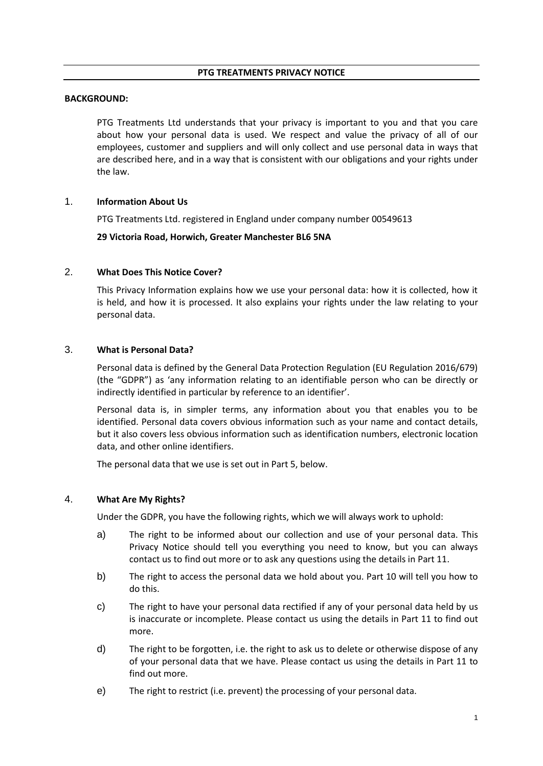#### **PTG TREATMENTS PRIVACY NOTICE**

#### **BACKGROUND:**

PTG Treatments Ltd understands that your privacy is important to you and that you care about how your personal data is used. We respect and value the privacy of all of our employees, customer and suppliers and will only collect and use personal data in ways that are described here, and in a way that is consistent with our obligations and your rights under the law.

## 1. **Information About Us**

PTG Treatments Ltd. registered in England under company number 00549613

## **29 Victoria Road, Horwich, Greater Manchester BL6 5NA**

## 2. **What Does This Notice Cover?**

This Privacy Information explains how we use your personal data: how it is collected, how it is held, and how it is processed. It also explains your rights under the law relating to your personal data.

## 3. **What is Personal Data?**

Personal data is defined by the General Data Protection Regulation (EU Regulation 2016/679) (the "GDPR") as 'any information relating to an identifiable person who can be directly or indirectly identified in particular by reference to an identifier'.

Personal data is, in simpler terms, any information about you that enables you to be identified. Personal data covers obvious information such as your name and contact details, but it also covers less obvious information such as identification numbers, electronic location data, and other online identifiers.

The personal data that we use is set out in Part 5, below.

#### 4. **What Are My Rights?**

Under the GDPR, you have the following rights, which we will always work to uphold:

- a) The right to be informed about our collection and use of your personal data. This Privacy Notice should tell you everything you need to know, but you can always contact us to find out more or to ask any questions using the details in Part 11.
- b) The right to access the personal data we hold about you. Part 10 will tell you how to do this.
- c) The right to have your personal data rectified if any of your personal data held by us is inaccurate or incomplete. Please contact us using the details in Part 11 to find out more.
- d) The right to be forgotten, i.e. the right to ask us to delete or otherwise dispose of any of your personal data that we have. Please contact us using the details in Part 11 to find out more.
- e) The right to restrict (i.e. prevent) the processing of your personal data.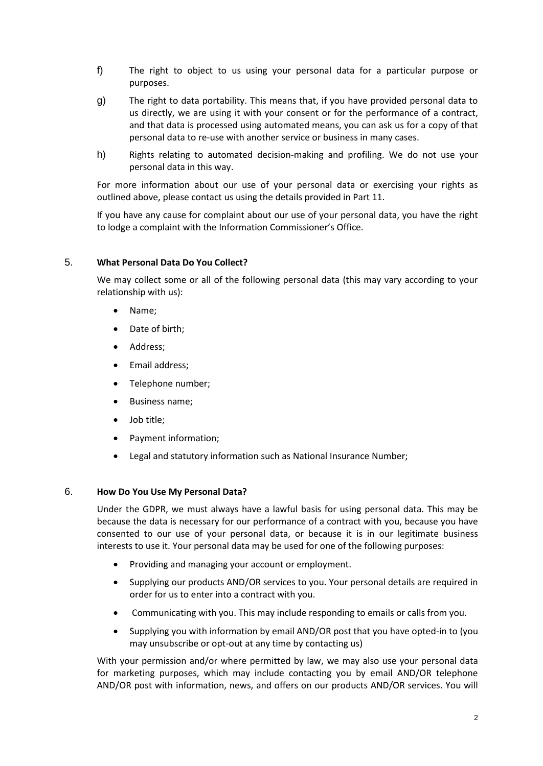- f) The right to object to us using your personal data for a particular purpose or purposes.
- g) The right to data portability. This means that, if you have provided personal data to us directly, we are using it with your consent or for the performance of a contract, and that data is processed using automated means, you can ask us for a copy of that personal data to re-use with another service or business in many cases.
- h) Rights relating to automated decision-making and profiling. We do not use your personal data in this way.

For more information about our use of your personal data or exercising your rights as outlined above, please contact us using the details provided in Part 11.

If you have any cause for complaint about our use of your personal data, you have the right to lodge a complaint with the Information Commissioner's Office.

## 5. **What Personal Data Do You Collect?**

We may collect some or all of the following personal data (this may vary according to your relationship with us):

- Name;
- Date of birth;
- Address;
- Email address;
- Telephone number;
- Business name;
- Job title;
- Payment information;
- Legal and statutory information such as National Insurance Number;

#### 6. **How Do You Use My Personal Data?**

Under the GDPR, we must always have a lawful basis for using personal data. This may be because the data is necessary for our performance of a contract with you, because you have consented to our use of your personal data, or because it is in our legitimate business interests to use it. Your personal data may be used for one of the following purposes:

- Providing and managing your account or employment.
- Supplying our products AND/OR services to you. Your personal details are required in order for us to enter into a contract with you.
- Communicating with you. This may include responding to emails or calls from you.
- Supplying you with information by email AND/OR post that you have opted-in to (you may unsubscribe or opt-out at any time by contacting us)

With your permission and/or where permitted by law, we may also use your personal data for marketing purposes, which may include contacting you by email AND/OR telephone AND/OR post with information, news, and offers on our products AND/OR services. You will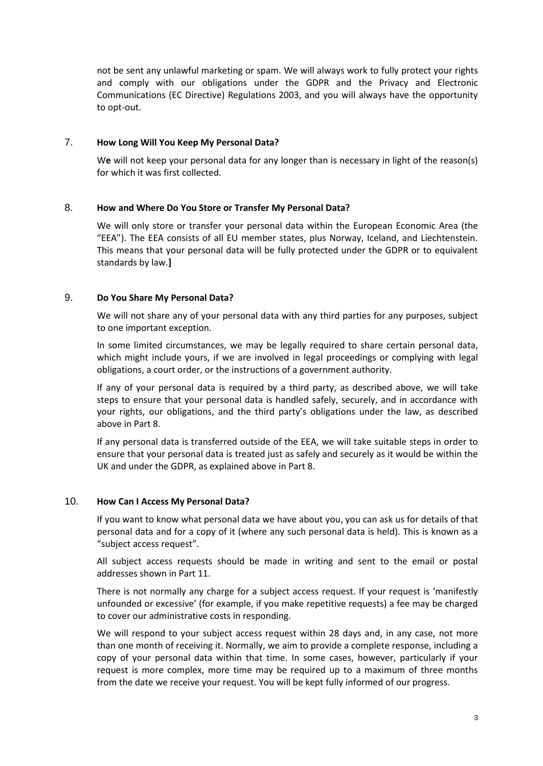not be sent any unlawful marketing or spam. We will always work to fully protect your rights and comply with our obligations under the GDPR and the Privacy and Electronic Communications (EC Directive) Regulations 2003, and you will always have the opportunity to opt-out.

#### 7. **How Long Will You Keep My Personal Data?**

We will not keep your personal data for any longer than is necessary in light of the reason(s) for which it was first collected.

## 8. **How and Where Do You Store or Transfer My Personal Data?**

We will only store or transfer your personal data within the European Economic Area (the "EEA"). The EEA consists of all EU member states, plus Norway, Iceland, and Liechtenstein. This means that your personal data will be fully protected under the GDPR or to equivalent standards by law.**]**

## 9. **Do You Share My Personal Data?**

We will not share any of your personal data with any third parties for any purposes, subject to one important exception.

In some limited circumstances, we may be legally required to share certain personal data, which might include yours, if we are involved in legal proceedings or complying with legal obligations, a court order, or the instructions of a government authority.

If any of your personal data is required by a third party, as described above, we will take steps to ensure that your personal data is handled safely, securely, and in accordance with your rights, our obligations, and the third party's obligations under the law, as described above in Part 8.

If any personal data is transferred outside of the EEA, we will take suitable steps in order to ensure that your personal data is treated just as safely and securely as it would be within the UK and under the GDPR, as explained above in Part 8.

#### 10. **How Can I Access My Personal Data?**

If you want to know what personal data we have about you, you can ask us for details of that personal data and for a copy of it (where any such personal data is held). This is known as a "subject access request".

All subject access requests should be made in writing and sent to the email or postal addresses shown in Part 11.

There is not normally any charge for a subject access request. If your request is 'manifestly unfounded or excessive' (for example, if you make repetitive requests) a fee may be charged to cover our administrative costs in responding.

We will respond to your subject access request within 28 days and, in any case, not more than one month of receiving it. Normally, we aim to provide a complete response, including a copy of your personal data within that time. In some cases, however, particularly if your request is more complex, more time may be required up to a maximum of three months from the date we receive your request. You will be kept fully informed of our progress.